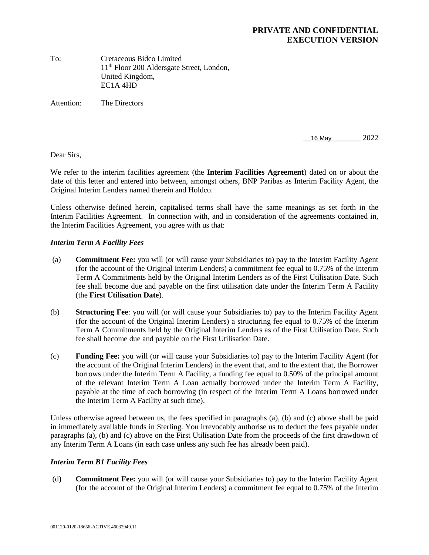#### **PRIVATE AND CONFIDENTIAL EXECUTION VERSION**

To: Cretaceous Bidco Limited 11th Floor 200 Aldersgate Street, London, United Kingdom, EC1A 4HD

Attention: The Directors

16 May 2022

Dear Sirs,

We refer to the interim facilities agreement (the **Interim Facilities Agreement**) dated on or about the date of this letter and entered into between, amongst others, BNP Paribas as Interim Facility Agent, the Original Interim Lenders named therein and Holdco.

Unless otherwise defined herein, capitalised terms shall have the same meanings as set forth in the Interim Facilities Agreement. In connection with, and in consideration of the agreements contained in, the Interim Facilities Agreement, you agree with us that:

#### *Interim Term A Facility Fees*

- (a) **Commitment Fee:** you will (or will cause your Subsidiaries to) pay to the Interim Facility Agent (for the account of the Original Interim Lenders) a commitment fee equal to 0.75% of the Interim Term A Commitments held by the Original Interim Lenders as of the First Utilisation Date. Such fee shall become due and payable on the first utilisation date under the Interim Term A Facility (the **First Utilisation Date**).
- (b) **Structuring Fee**: you will (or will cause your Subsidiaries to) pay to the Interim Facility Agent (for the account of the Original Interim Lenders) a structuring fee equal to 0.75% of the Interim Term A Commitments held by the Original Interim Lenders as of the First Utilisation Date. Such fee shall become due and payable on the First Utilisation Date.
- (c) **Funding Fee:** you will (or will cause your Subsidiaries to) pay to the Interim Facility Agent (for the account of the Original Interim Lenders) in the event that, and to the extent that, the Borrower borrows under the Interim Term A Facility, a funding fee equal to 0.50% of the principal amount of the relevant Interim Term A Loan actually borrowed under the Interim Term A Facility, payable at the time of each borrowing (in respect of the Interim Term A Loans borrowed under the Interim Term A Facility at such time).

Unless otherwise agreed between us, the fees specified in paragraphs (a), (b) and (c) above shall be paid in immediately available funds in Sterling. You irrevocably authorise us to deduct the fees payable under paragraphs (a), (b) and (c) above on the First Utilisation Date from the proceeds of the first drawdown of any Interim Term A Loans (in each case unless any such fee has already been paid).

#### *Interim Term B1 Facility Fees*

 (d) **Commitment Fee:** you will (or will cause your Subsidiaries to) pay to the Interim Facility Agent (for the account of the Original Interim Lenders) a commitment fee equal to 0.75% of the Interim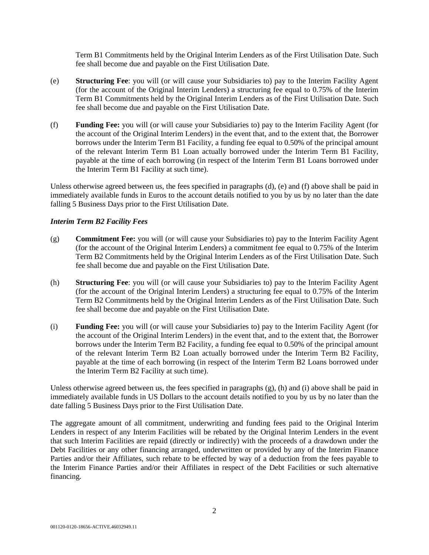Term B1 Commitments held by the Original Interim Lenders as of the First Utilisation Date. Such fee shall become due and payable on the First Utilisation Date.

- (e) **Structuring Fee**: you will (or will cause your Subsidiaries to) pay to the Interim Facility Agent (for the account of the Original Interim Lenders) a structuring fee equal to 0.75% of the Interim Term B1 Commitments held by the Original Interim Lenders as of the First Utilisation Date. Such fee shall become due and payable on the First Utilisation Date.
- (f) **Funding Fee:** you will (or will cause your Subsidiaries to) pay to the Interim Facility Agent (for the account of the Original Interim Lenders) in the event that, and to the extent that, the Borrower borrows under the Interim Term B1 Facility, a funding fee equal to 0.50% of the principal amount of the relevant Interim Term B1 Loan actually borrowed under the Interim Term B1 Facility, payable at the time of each borrowing (in respect of the Interim Term B1 Loans borrowed under the Interim Term B1 Facility at such time).

Unless otherwise agreed between us, the fees specified in paragraphs (d), (e) and (f) above shall be paid in immediately available funds in Euros to the account details notified to you by us by no later than the date falling 5 Business Days prior to the First Utilisation Date.

#### *Interim Term B2 Facility Fees*

- (g) **Commitment Fee:** you will (or will cause your Subsidiaries to) pay to the Interim Facility Agent (for the account of the Original Interim Lenders) a commitment fee equal to 0.75% of the Interim Term B2 Commitments held by the Original Interim Lenders as of the First Utilisation Date. Such fee shall become due and payable on the First Utilisation Date.
- (h) **Structuring Fee**: you will (or will cause your Subsidiaries to) pay to the Interim Facility Agent (for the account of the Original Interim Lenders) a structuring fee equal to 0.75% of the Interim Term B2 Commitments held by the Original Interim Lenders as of the First Utilisation Date. Such fee shall become due and payable on the First Utilisation Date.
- (i) **Funding Fee:** you will (or will cause your Subsidiaries to) pay to the Interim Facility Agent (for the account of the Original Interim Lenders) in the event that, and to the extent that, the Borrower borrows under the Interim Term B2 Facility, a funding fee equal to 0.50% of the principal amount of the relevant Interim Term B2 Loan actually borrowed under the Interim Term B2 Facility, payable at the time of each borrowing (in respect of the Interim Term B2 Loans borrowed under the Interim Term B2 Facility at such time).

Unless otherwise agreed between us, the fees specified in paragraphs (g), (h) and (i) above shall be paid in immediately available funds in US Dollars to the account details notified to you by us by no later than the date falling 5 Business Days prior to the First Utilisation Date.

The aggregate amount of all commitment, underwriting and funding fees paid to the Original Interim Lenders in respect of any Interim Facilities will be rebated by the Original Interim Lenders in the event that such Interim Facilities are repaid (directly or indirectly) with the proceeds of a drawdown under the Debt Facilities or any other financing arranged, underwritten or provided by any of the Interim Finance Parties and/or their Affiliates, such rebate to be effected by way of a deduction from the fees payable to the Interim Finance Parties and/or their Affiliates in respect of the Debt Facilities or such alternative financing.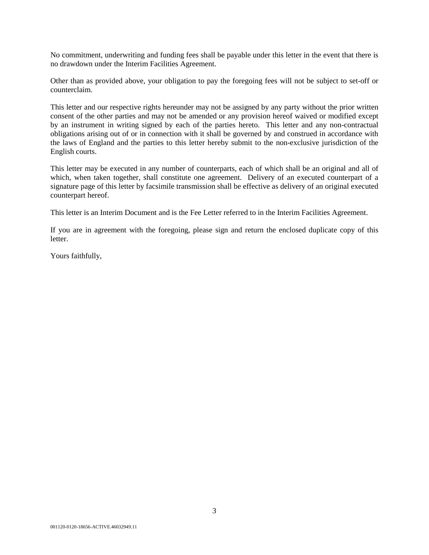No commitment, underwriting and funding fees shall be payable under this letter in the event that there is no drawdown under the Interim Facilities Agreement.

Other than as provided above, your obligation to pay the foregoing fees will not be subject to set-off or counterclaim.

This letter and our respective rights hereunder may not be assigned by any party without the prior written consent of the other parties and may not be amended or any provision hereof waived or modified except by an instrument in writing signed by each of the parties hereto. This letter and any non-contractual obligations arising out of or in connection with it shall be governed by and construed in accordance with the laws of England and the parties to this letter hereby submit to the non-exclusive jurisdiction of the English courts.

This letter may be executed in any number of counterparts, each of which shall be an original and all of which, when taken together, shall constitute one agreement. Delivery of an executed counterpart of a signature page of this letter by facsimile transmission shall be effective as delivery of an original executed counterpart hereof.

This letter is an Interim Document and is the Fee Letter referred to in the Interim Facilities Agreement.

If you are in agreement with the foregoing, please sign and return the enclosed duplicate copy of this letter.

Yours faithfully,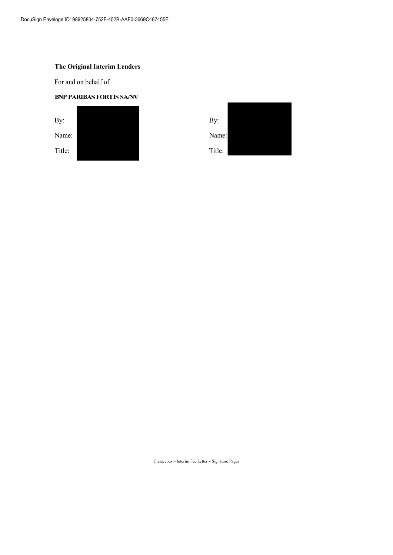For and on behalf of

#### **BNP PARIBAS FORTIS SA/NV**



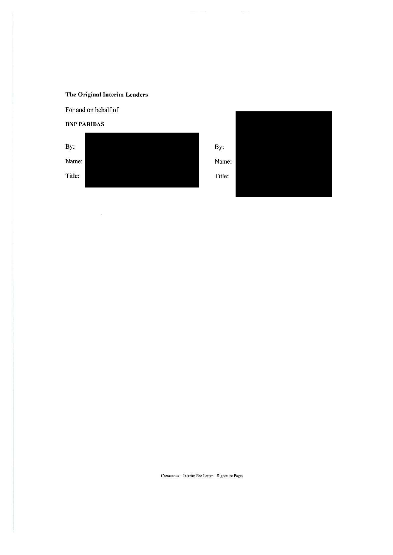For and on behalf of

#### **BNP PARIBAS**

By: Name: Title:



By: Name:

Title:

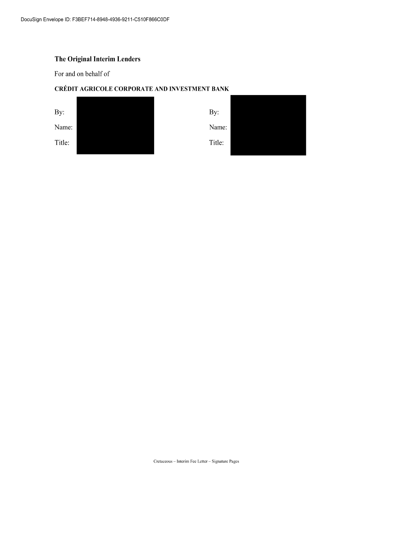For and on behalf of

### CRÉDIT AGRICOLE CORPORATE AND INVESTMENT BANK

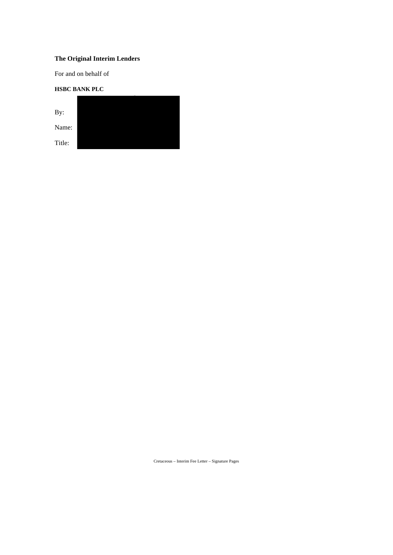For and on behalf of

### **HSBC BANK PLC**